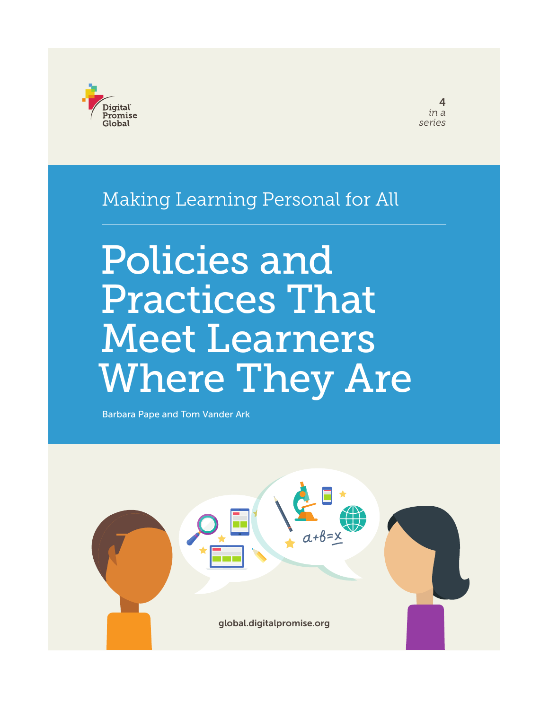

### Making Learning Personal for All

# Policies and Practices That Meet Learners Where They Are

Barbara Pape and Tom Vander Ark

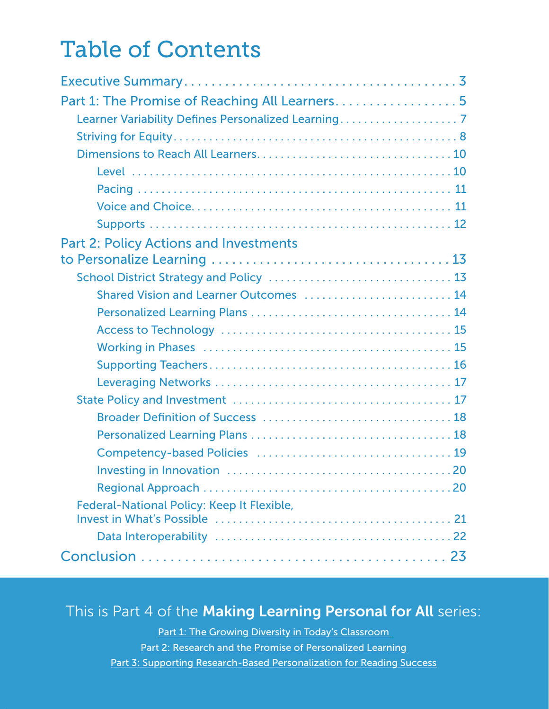## Table of Contents

| Learner Variability Defines Personalized Learning7 |  |
|----------------------------------------------------|--|
|                                                    |  |
|                                                    |  |
|                                                    |  |
|                                                    |  |
|                                                    |  |
|                                                    |  |
| <b>Part 2: Policy Actions and Investments</b>      |  |
|                                                    |  |
|                                                    |  |
| Shared Vision and Learner Outcomes  14             |  |
|                                                    |  |
|                                                    |  |
|                                                    |  |
|                                                    |  |
|                                                    |  |
|                                                    |  |
|                                                    |  |
|                                                    |  |
|                                                    |  |
|                                                    |  |
|                                                    |  |
| Federal-National Policy: Keep It Flexible,         |  |
|                                                    |  |
|                                                    |  |
|                                                    |  |

#### This is Part 4 of the Making Learning Personal for All series:

Policies and Practices That Meet Learners Where They Are | 2 Part 1: The Growing Diversity in Today's Classroom Part 2: [Research and the Promise of Personalized Learning](http://digitalpromise.org/wp-content/uploads/2017/02/lps-research-promise-personalized-learning.pdf) Part 3: [Supporting Research-Based Personalization for Reading Success](http://digitalpromise.org/wp-content/uploads/2017/07/lps-reading_success_july102017.pdf)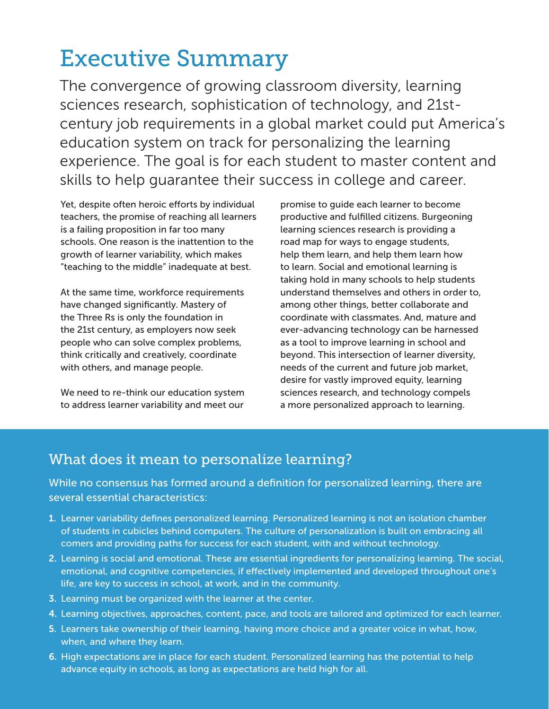## <span id="page-2-0"></span>Executive Summary

The convergence of growing classroom diversity, learning sciences research, sophistication of technology, and 21stcentury job requirements in a global market could put America's education system on track for personalizing the learning experience. The goal is for each student to master content and skills to help guarantee their success in college and career.

Yet, despite often heroic efforts by individual teachers, the promise of reaching all learners is a failing proposition in far too many schools. One reason is the inattention to the growth of learner variability, which makes "teaching to the middle" inadequate at best.

At the same time, workforce requirements have changed significantly. Mastery of the Three Rs is only the foundation in the 21st century, as employers now seek people who can solve complex problems, think critically and creatively, coordinate with others, and manage people.

We need to re-think our education system to address learner variability and meet our

promise to guide each learner to become productive and fulfilled citizens. Burgeoning learning sciences research is providing a road map for ways to engage students, help them learn, and help them learn how to learn. Social and emotional learning is taking hold in many schools to help students understand themselves and others in order to, among other things, better collaborate and coordinate with classmates. And, mature and ever-advancing technology can be harnessed as a tool to improve learning in school and beyond. This intersection of learner diversity, needs of the current and future job market, desire for vastly improved equity, learning sciences research, and technology compels a more personalized approach to learning.

#### What does it mean to personalize learning?

While no consensus has formed around a definition for personalized learning, there are several essential characteristics:

- 1. Learner variability defines personalized learning. Personalized learning is not an isolation chamber of students in cubicles behind computers. The culture of personalization is built on embracing all comers and providing paths for success for each student, with and without technology.
- 2. Learning is social and emotional. These are essential ingredients for personalizing learning. The social, emotional, and cognitive competencies, if effectively implemented and developed throughout one's life, are key to success in school, at work, and in the community.
- 3. Learning must be organized with the learner at the center.
- 4. Learning objectives, approaches, content, pace, and tools are tailored and optimized for each learner.
- 5. Learners take ownership of their learning, having more choice and a greater voice in what, how, when, and where they learn.
- Policies and Practices That Meet Learners Where They Are | 3 advance equity in schools, as long as expectations are held high for all.6. High expectations are in place for each student. Personalized learning has the potential to help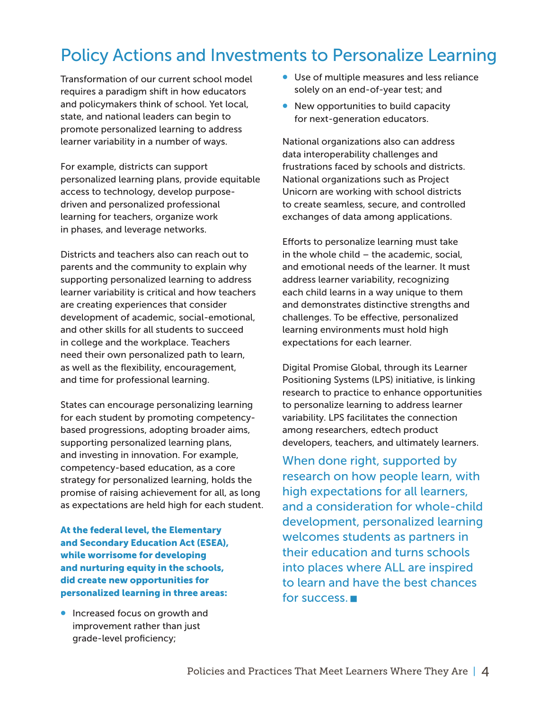### Policy Actions and Investments to Personalize Learning

Transformation of our current school model requires a paradigm shift in how educators and policymakers think of school. Yet local, state, and national leaders can begin to promote personalized learning to address learner variability in a number of ways.

For example, districts can support personalized learning plans, provide equitable access to technology, develop purposedriven and personalized professional learning for teachers, organize work in phases, and leverage networks.

Districts and teachers also can reach out to parents and the community to explain why supporting personalized learning to address learner variability is critical and how teachers are creating experiences that consider development of academic, social-emotional, and other skills for all students to succeed in college and the workplace. Teachers need their own personalized path to learn, as well as the flexibility, encouragement, and time for professional learning.

States can encourage personalizing learning for each student by promoting competencybased progressions, adopting broader aims, supporting personalized learning plans, and investing in innovation. For example, competency-based education, as a core strategy for personalized learning, holds the promise of raising achievement for all, as long as expectations are held high for each student.

At the federal level, the Elementary and Secondary Education Act (ESEA), while worrisome for developing and nurturing equity in the schools, did create new opportunities for personalized learning in three areas:

• Increased focus on growth and improvement rather than just grade-level proficiency;

- Use of multiple measures and less reliance solely on an end-of-year test; and
- New opportunities to build capacity for next-generation educators.

National organizations also can address data interoperability challenges and frustrations faced by schools and districts. National organizations such as Project Unicorn are working with school districts to create seamless, secure, and controlled exchanges of data among applications.

Efforts to personalize learning must take in the whole child – the academic, social, and emotional needs of the learner. It must address learner variability, recognizing each child learns in a way unique to them and demonstrates distinctive strengths and challenges. To be effective, personalized learning environments must hold high expectations for each learner.

Digital Promise Global, through its Learner Positioning Systems (LPS) initiative, is linking research to practice to enhance opportunities to personalize learning to address learner variability. LPS facilitates the connection among researchers, edtech product developers, teachers, and ultimately learners.

When done right, supported by research on how people learn, with high expectations for all learners, and a consideration for whole-child development, personalized learning welcomes students as partners in their education and turns schools into places where ALL are inspired to learn and have the best chances for success.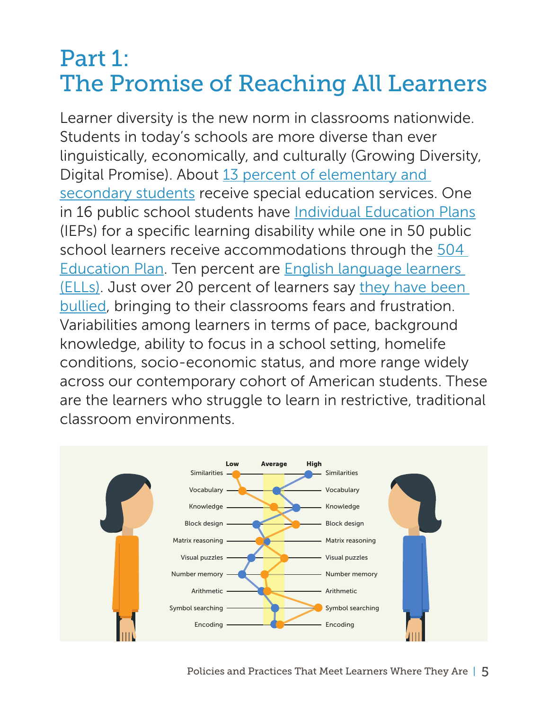### <span id="page-4-0"></span>Part 1: The Promise of Reaching All Learners

Learner diversity is the new norm in classrooms nationwide. Students in today's schools are more diverse than ever linguistically, economically, and culturally (Growing Diversity, Digital Promise). About 13 percent of elementary and [secondary students](https://nces.ed.gov/programs/coe/indicator_cgg.asp) receive special education services. One in 16 public school students have [Individual Education Plans](https://www.ncld.org/understanding-learning-and-attention-issues) (IEPs) for a specific learning disability while one in 50 public school learners receive accommodations through the 504 [Education Plan.](https://www.ncld.org/understanding-learning-and-attention-issues) Ten percent are [English language learners](https://nces.ed.gov/fastfacts/display.asp?id=96)  [\(ELLs\)](https://nces.ed.gov/fastfacts/display.asp?id=96). Just over 20 percent of learners say [they have been](https://nces.ed.gov/fastfacts/display.asp?id=719)  [bullied,](https://nces.ed.gov/fastfacts/display.asp?id=719) bringing to their classrooms fears and frustration. Variabilities among learners in terms of pace, background knowledge, ability to focus in a school setting, homelife conditions, socio-economic status, and more range widely across our contemporary cohort of American students. These are the learners who struggle to learn in restrictive, traditional classroom environments.

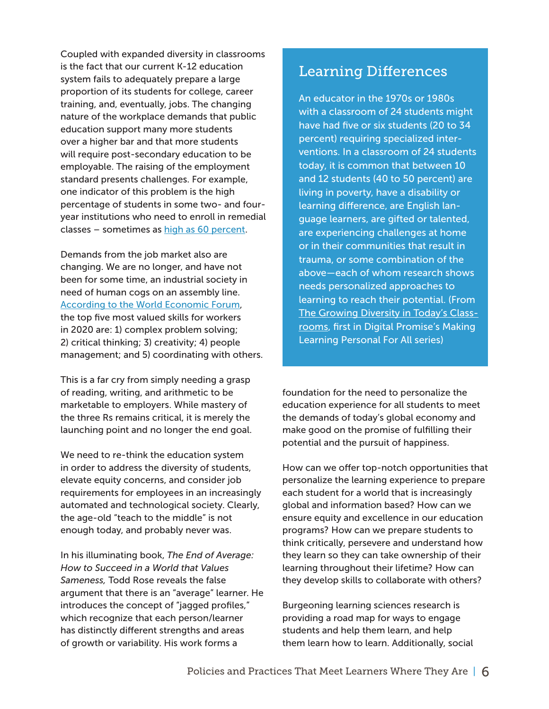Coupled with expanded diversity in classrooms is the fact that our current K-12 education system fails to adequately prepare a large proportion of its students for college, career training, and, eventually, jobs. The changing nature of the workplace demands that public education support many more students over a higher bar and that more students will require post-secondary education to be employable. The raising of the employment standard presents challenges. For example, one indicator of this problem is the high percentage of students in some two- and fouryear institutions who need to enroll in remedial cla[s](http://www.highereducation.org/reports/college_readiness/CollegeReadiness.pdf)ses - sometimes as [high as 60 percent.](http://www.highereducation.org/reports/college_readiness/CollegeReadiness.pdf)

Demands from the job market also are changing. We are no longer, and have not been for some time, an industrial society in need of human cogs on an assembly line. [According to the World Economic Forum,](https://www.weforum.org/agenda/2016/01/the-10-skills-you-need-to-thrive-in-the-fourth-industrial-revolution/) the top five most valued skills for workers in 2020 are: 1) complex problem solving; 2) critical thinking; 3) creativity; 4) people management; and 5) coordinating with others.

This is a far cry from simply needing a grasp of reading, writing, and arithmetic to be marketable to employers. While mastery of the three Rs remains critical, it is merely the launching point and no longer the end goal.

We need to re-think the education system in order to address the diversity of students, elevate equity concerns, and consider job requirements for employees in an increasingly automated and technological society. Clearly, the age-old "teach to the middle" is not enough today, and probably never was.

In his illuminating book, *The End of Average: How to Succeed in a World that Values Sameness,* Todd Rose reveals the false argument that there is an "average" learner. He introduces the concept of "jagged profiles," which recognize that each person/learner has distinctly different strengths and areas of growth or variability. His work forms a

#### Learning Differences

An educator in the 1970s or 1980s with a classroom of 24 students might have had five or six students (20 to 34 percent) requiring specialized interventions. In a classroom of 24 students today, it is common that between 10 and 12 students (40 to 50 percent) are living in poverty, have a disability or learning difference, are English language learners, are gifted or talented, are experiencing challenges at home or in their communities that result in trauma, or some combination of the above—each of whom research shows needs personalized approaches to learning to reach their potential. (From [The Growing Diversity in Today's Class](http://digitalpromise.org/wp-content/uploads/2016/09/lps-growing_diversity_FINAL-1.pdf)[rooms](http://digitalpromise.org/wp-content/uploads/2016/09/lps-growing_diversity_FINAL-1.pdf), first in Digital Promise's Making Learning Personal For All series)

foundation for the need to personalize the education experience for all students to meet the demands of today's global economy and make good on the promise of fulfilling their potential and the pursuit of happiness.

How can we offer top-notch opportunities that personalize the learning experience to prepare each student for a world that is increasingly global and information based? How can we ensure equity and excellence in our education programs? How can we prepare students to think critically, persevere and understand how they learn so they can take ownership of their learning throughout their lifetime? How can they develop skills to collaborate with others?

Burgeoning learning sciences research is providing a road map for ways to engage students and help them learn, and help them learn how to learn. Additionally, social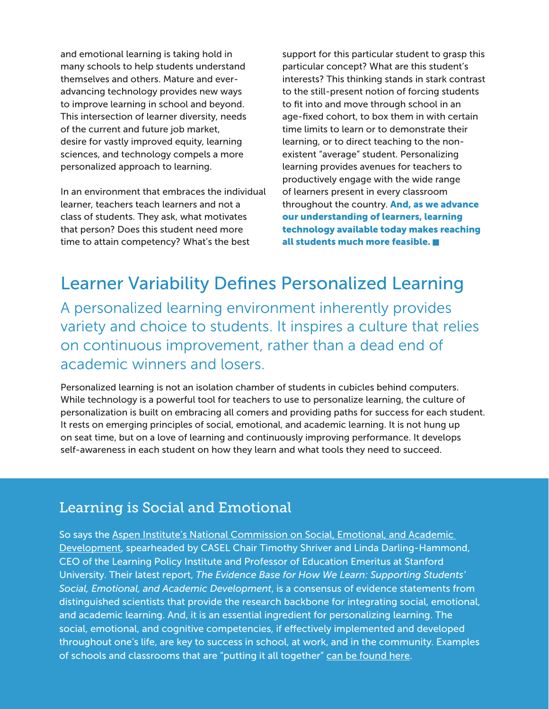<span id="page-6-0"></span>and emotional learning is taking hold in many schools to help students understand themselves and others. Mature and everadvancing technology provides new ways to improve learning in school and beyond. This intersection of learner diversity, needs of the current and future job market, desire for vastly improved equity, learning sciences, and technology compels a more personalized approach to learning.

In an environment that embraces the individual learner, teachers teach learners and not a class of students. They ask, what motivates that person? Does this student need more time to attain competency? What's the best

support for this particular student to grasp this particular concept? What are this student's interests? This thinking stands in stark contrast to the still-present notion of forcing students to fit into and move through school in an age-fixed cohort, to box them in with certain time limits to learn or to demonstrate their learning, or to direct teaching to the nonexistent "average" student. Personalizing learning provides avenues for teachers to productively engage with the wide range of learners present in every classroom throughout the country. And, as we advance our understanding of learners, learning technology available today makes reaching all students much more feasible.

### Learner Variability Defines Personalized Learning

A personalized learning environment inherently provides variety and choice to students. It inspires a culture that relies on continuous improvement, rather than a dead end of academic winners and losers.

Personalized learning is not an isolation chamber of students in cubicles behind computers. While technology is a powerful tool for teachers to use to personalize learning, the culture of personalization is built on embracing all comers and providing paths for success for each student. It rests on emerging principles of social, emotional, and academic learning. It is not hung up on seat time, but on a love of learning and continuously improving performance. It develops self-awareness in each student on how they learn and what tools they need to succeed.

#### Learning is Social and Emotional

So says the [Aspen Institute's National Commission on Social, Emotional, and Academic](https://www.aspeninstitute.org/programs/national-commission-on-social-emotional-and-academic-development/)  [Development,](https://www.aspeninstitute.org/programs/national-commission-on-social-emotional-and-academic-development/) spearheaded by CASEL Chair Timothy Shriver and Linda Darling-Hammond, CEO of the Learning Policy Institute and Professor of Education Emeritus at Stanford University. Their latest report, *The Evidence Base for How We Learn: Supporting Students' Social, Emotional, and Academic Development*, is a consensus of evidence statements from distinguished scientists that provide the research backbone for integrating social, emotional, and academic learning. And, it is an essential ingredient for personalizing learning. The social, emotional, and cognitive competencies, if effectively implemented and developed throughout one's life, are key to success in school, at work, and in the community. Examples of schools and classrooms that are ["](https://www.aspeninstitute.org/publications/putting-it-all-together/)putting it all together" [can be found here.](https://www.aspeninstitute.org/publications/putting-it-all-together/)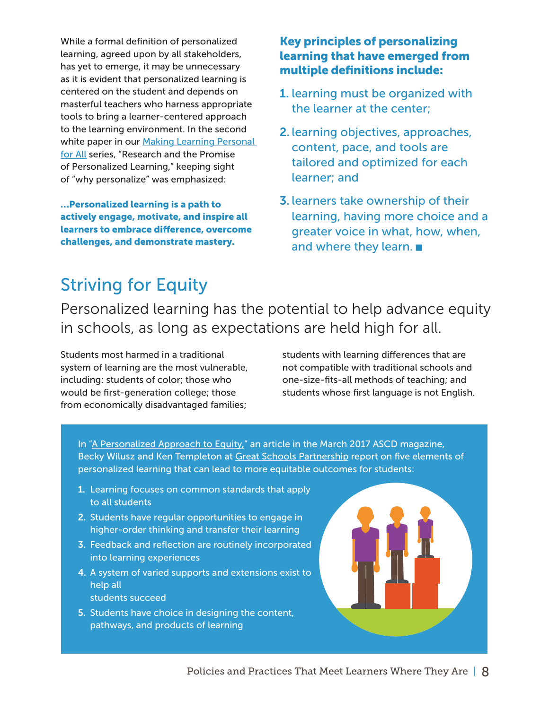<span id="page-7-0"></span>While a formal definition of personalized learning, agreed upon by all stakeholders, has yet to emerge, it may be unnecessary as it is evident that personalized learning is centered on the student and depends on masterful teachers who harness appropriate tools to bring a learner-centered approach to the learning environment. In the second white paper in our [Making Learning Personal](http://digitalpromise.org/initiative/learner-positioning-systems/making-learning-personal-for-all/)  [for All](http://digitalpromise.org/initiative/learner-positioning-systems/making-learning-personal-for-all/) series, "Research and the Promise of Personalized Learning," keeping sight of "why personalize" was emphasized:

…Personalized learning is a path to actively engage, motivate, and inspire all learners to embrace difference, overcome challenges, and demonstrate mastery.

#### Key principles of personalizing learning that have emerged from multiple definitions include:

- 1. learning must be organized with the learner at the center;
- 2. learning objectives, approaches, content, pace, and tools are tailored and optimized for each learner; and
- 3. learners take ownership of their learning, having more choice and a greater voice in what, how, when, and where they learn.

### Striving for Equity

Personalized learning has the potential to help advance equity in schools, as long as expectations are held high for all.

Students most harmed in a traditional system of learning are the most vulnerable, including: students of color; those who would be first-generation college; those from economically disadvantaged families;

students with learning differences that are not compatible with traditional schools and one-size-fits-all methods of teaching; and students whose first language is not English.

I[n "A Personalized Approach to Equity,](http://www.ascd.org/publications/educational-leadership/mar17/vol74/num06/A-Personalized-Approach-to-Equity.aspx)" an article in the March 2017 ASCD magazine, Becky Wilusz and Ken Templeton at [Great Schools Partnership](http://greatschoolspartnership.org/) report on five elements of personalized learning that can lead to more equitable outcomes for students:

- 1. Learning focuses on common standards that apply to all students
- 2. Students have regular opportunities to engage in higher-order thinking and transfer their learning
- 3. Feedback and reflection are routinely incorporated into learning experiences
- 4. A system of varied supports and extensions exist to help all students succeed
- 5. Students have choice in designing the content, pathways, and products of learning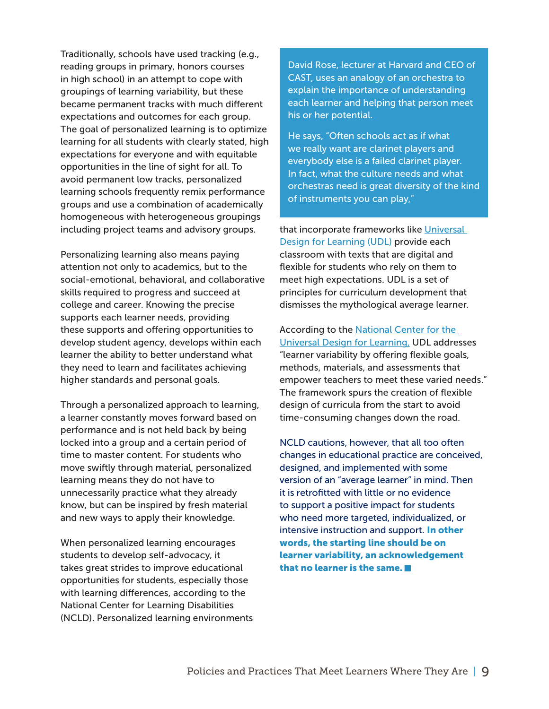Traditionally, schools have used tracking (e.g., reading groups in primary, honors courses in high school) in an attempt to cope with groupings of learning variability, but these became permanent tracks with much different expectations and outcomes for each group. The goal of personalized learning is to optimize learning for all students with clearly stated, high expectations for everyone and with equitable opportunities in the line of sight for all. To avoid permanent low tracks, personalized learning schools frequently remix performance groups and use a combination of academically homogeneous with heterogeneous groupings including project teams and advisory groups.

Personalizing learning also means paying attention not only to academics, but to the social-emotional, behavioral, and collaborative skills required to progress and succeed at college and career. Knowing the precise supports each learner needs, providing these supports and offering opportunities to develop student agency, develops within each learner the ability to better understand what they need to learn and facilitates achieving higher standards and personal goals.

Through a personalized approach to learning, a learner constantly moves forward based on performance and is not held back by being locked into a group and a certain period of time to master content. For students who move swiftly through material, personalized learning means they do not have to unnecessarily practice what they already know, but can be inspired by fresh material and new ways to apply their knowledge.

When personalized learning encourages students to develop self-advocacy, it takes great strides to improve educational opportunities for students, especially those with learning differences, according to the National Center for Learning Disabilities (NCLD). Personalized learning environments David Rose, lecturer at Harvard and CEO of [CAST,](http://www.cast.org/) uses an [analogy of an orchestra](http://researchmap.digitalpromise.org/gallery/embracing-learner-variability-schools/) to explain the importance of understanding each learner and helping that person meet his or her potential.

He says, "Often schools act as if what we really want are clarinet players and everybody else is a failed clarinet player. In fact, what the culture needs and what orchestras need is great diversity of the kind of instruments you can play,"

that incorporate frameworks like Universal [Design for Learning \(UDL\)](http://www.udlcenter.org/) provide each classroom with texts that are digital and flexible for students who rely on them to meet high expectations. UDL is a set of principles for curriculum development that dismisses the mythological average learner.

According to the National Center for the [Universal Design for Learning,](http://www.udlcenter.org/aboutudl/whatisudl/conceptofudl) UDL addresses "learner variability by offering flexible goals, methods, materials, and assessments that empower teachers to meet these varied needs." The framework spurs the creation of flexible design of curricula from the start to avoid time-consuming changes down the road.

NCLD cautions, however, that all too often changes in educational practice are conceived, designed, and implemented with some version of an "average learner" in mind. Then it is retrofitted with little or no evidence to support a positive impact for students who need more targeted, individualized, or intensive instruction and support. In other words, the starting line should be on learner variability, an acknowledgement that no learner is the same.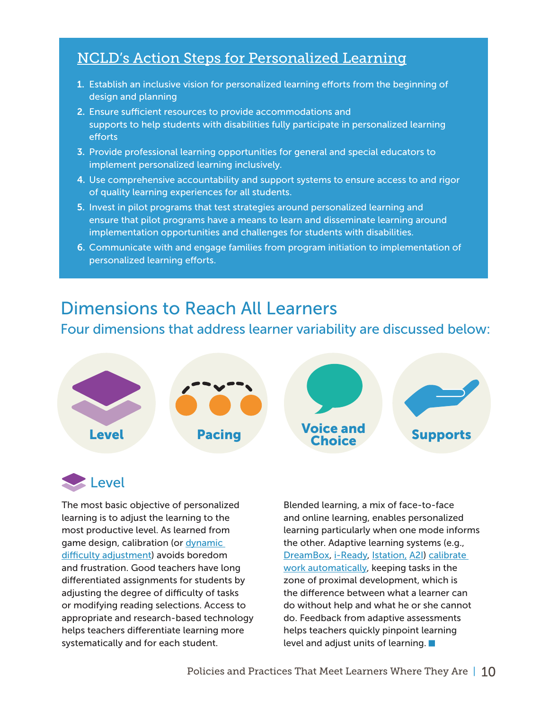#### <span id="page-9-0"></span>[NCLD's Action Steps for Personalized Learning](https://www.ncld.org/wp-content/uploads/2017/11/Extended-Learning-Opportunities.Fin_.11092017.pdf)

- 1. Establish an inclusive vision for personalized learning efforts from the beginning of design and planning
- 2. Ensure sufficient resources to provide accommodations and supports to help students with disabilities fully participate in personalized learning efforts
- $\hbox{\sf implement personalized learning inclusive}$  in a Computation in a  $C$  computation in a  $C$  -computational  $\hbox{\sf Unif}$ 3. Provide professional learning opportunities for general and special educators to
- 4. Use comprehensive accountability and support systems to ensure access to and rigor of quality learning experiences for all students.
- 5. Invest in pilot programs that test strategies around personalized learning and ensure that pilot programs have a means to learn and disseminate learning around implementation opportunities and challenges for students with disabilities.
- 6. Communicate with and engage families from program initiation to implementation of personalized learning efforts.

#### Dimensions to Reach All Learners

#### Four dimensions that address learner variability are discussed below:



### **Level**

The most basic objective of personalized learning is to adjust the learning to the most productive level. As learned from game design, calibration (or [dynamic](https://en.wikipedia.org/wiki/Dynamic_game_difficulty_balancing)  [difficulty adjustment\)](https://en.wikipedia.org/wiki/Dynamic_game_difficulty_balancing) avoids boredom and frustration. Good teachers have long differentiated assignments for students by adjusting the degree of difficulty of tasks or modifying reading selections. Access to appropriate and research-based technology helps teachers differentiate learning more systematically and for each student.

Blended learning, a mix of face-to-face and online learning, enables personalized learning particularly when one mode informs the other. Adaptive learning systems (e.g., [DreamBox](http://www.dreambox.com/), [i-Ready,](http://iready) [Istation,](https://www.istation.com/) [A2I](http://learningovations.com/)) [calibrate](http://www.dreambox.com/blog/math-learning-zone-proximal-development)  [work automatically](http://www.dreambox.com/blog/math-learning-zone-proximal-development), keeping tasks in the zone of proximal development, which is the difference between what a learner can do without help and what he or she cannot do. Feedback from adaptive assessments helps teachers quickly pinpoint learning level and adjust units of learning.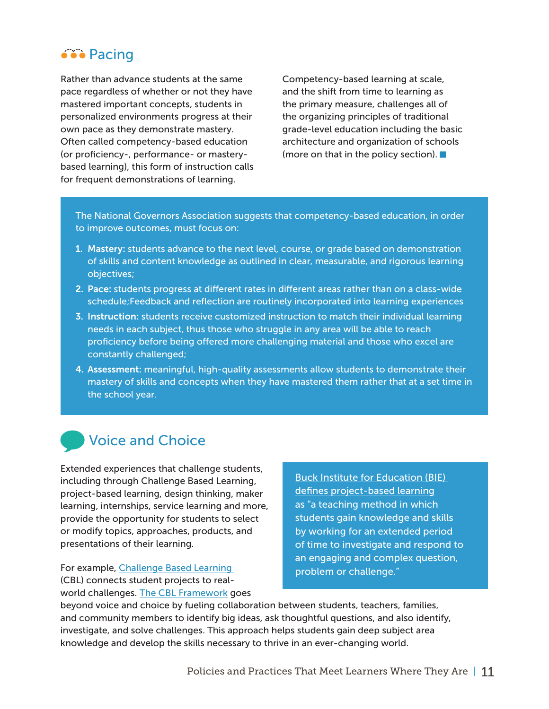#### <span id="page-10-0"></span>●●● Pacing

Rather than advance students at the same pace regardless of whether or not they have mastered important concepts, students in personalized environments progress at their own pace as they demonstrate mastery. Often called competency-based education (or proficiency-, performance- or masterybased learning), this form of instruction calls for frequent demonstrations of learning.

Competency-based learning at scale, and the shift from time to learning as the primary measure, challenges all of the organizing principles of traditional grade-level education including the basic architecture and organization of schools (more on that in the policy section).

The [National Governors Association](https://www.nga.org/cms/home/nga-center-for-best-practices/center-publications/page-edu-publications/col2-content/main-content-list/expanding-student-success-a-prim.html) suggests that competency-based education, in order to improve outcomes, must focus on:

- 1. Mastery: students advance to the next level, course, or grade based on demonstration of skills and content knowledge as outlined in clear, measurable, and rigorous learning objectives;
- 2. Pace: students progress at different rates in different areas rather than on a class-wide schedule;Feedback and reflection are routinely incorporated into learning experiences
- 3. Instruction: students receive customized instruction to match their individual learning needs in each subject, thus those who struggle in any area will be able to reach proficiency before being offered more challenging material and those who excel are constantly challenged;
- 4. Assessment: meaningful, high-quality assessments allow students to demonstrate their mastery of skills and concepts when they have mastered them rather that at a set time in the school year.

#### Voice and Choice

Extended experiences that challenge students, including through Challenge Based Learning, project-based learning, design thinking, maker learning, internships, service learning and more, provide the opportunity for students to select or modify topics, approaches, products, and presentations of their learning.

For example, [Challenge Based Learning](http://digitalpromise.org/initiative/challenge-based-learning/) (CBL) connects student projects to realworld challenges. [The CBL Framework](http://cbl.digitalpromise.org/2017/03/20/cbl-personalized-learning/) goes

Buck Institute for Education (BIE) defines project-based learning as "a teaching method in which students gain knowledge and skills by working for an extended period of time to investigate and respond to an engaging and complex question, problem or challenge."

beyond voice and choice by fueling collaboration between students, teachers, families, and community members to identify big ideas, ask thoughtful questions, and also identify, investigate, and solve challenges. This approach helps students gain deep subject area knowledge and develop the skills necessary to thrive in an ever-changing world.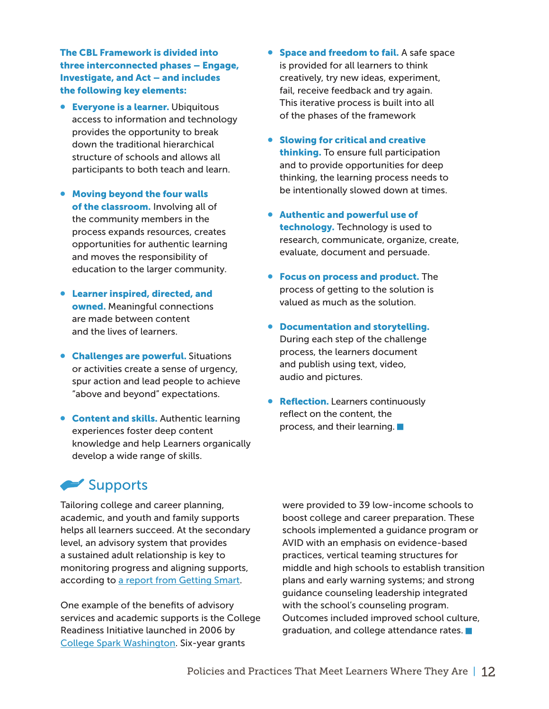<span id="page-11-0"></span>The CBL Framework is divided into three interconnected phases – Engage, Investigate, and Act – and includes the following key elements:

- **Everyone is a learner.** Ubiquitous access to information and technology provides the opportunity to break down the traditional hierarchical structure of schools and allows all participants to both teach and learn.
- Moving beyond the four walls of the classroom. Involving all of the community members in the process expands resources, creates opportunities for authentic learning and moves the responsibility of education to the larger community.
- Learner inspired, directed, and owned. Meaningful connections are made between content and the lives of learners.
- Challenges are powerful. Situations or activities create a sense of urgency, spur action and lead people to achieve "above and beyond" expectations.
- **Content and skills.** Authentic learning experiences foster deep content knowledge and help Learners organically develop a wide range of skills.
- Space and freedom to fail. A safe space is provided for all learners to think creatively, try new ideas, experiment, fail, receive feedback and try again. This iterative process is built into all of the phases of the framework
- Slowing for critical and creative thinking. To ensure full participation and to provide opportunities for deep thinking, the learning process needs to be intentionally slowed down at times.
- Authentic and powerful use of technology. Technology is used to research, communicate, organize, create, evaluate, document and persuade.
- Focus on process and product. The process of getting to the solution is valued as much as the solution.
- Documentation and storytelling. During each step of the challenge process, the learners document and publish using text, video, audio and pictures.
- **Reflection.** Learners continuously reflect on the content, the process, and their learning.

#### Supports

Tailoring college and career planning, academic, and youth and family supports helps all learners succeed. At the secondary level, an advisory system that provides a sustained adult relationship is key to monitoring progress and aligning supports, according to a report from Getting Smart.

One example of the benefits of advisory services and academic supports is the College Readiness Initiative launched in 2006 by College Spark Washington. Six-year grants

were provided to 39 low-income schools to boost college and career preparation. These schools implemented a guidance program or AVID with an emphasis on evidence-based practices, vertical teaming structures for middle and high schools to establish transition plans and early warning systems; and strong guidance counseling leadership integrated with the school's counseling program. Outcomes included improved school culture, graduation, and college attendance rates.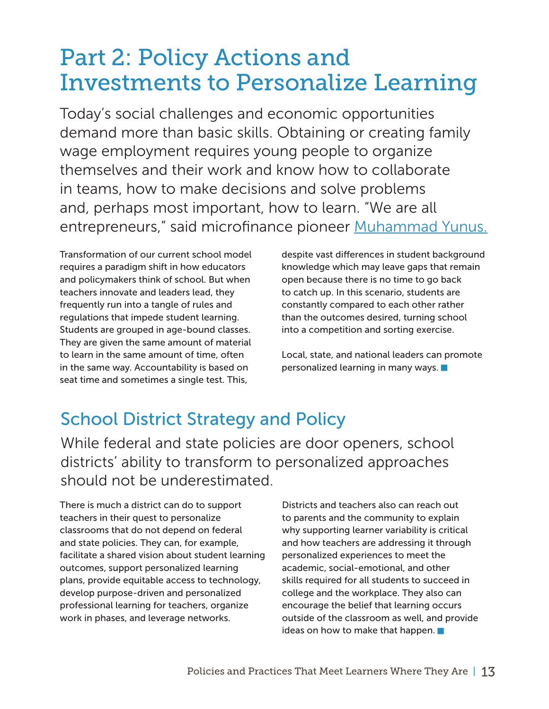### <span id="page-12-0"></span>Part 2: Policy Actions and Investments to Personalize Learning

Today's social challenges and economic opportunities demand more than basic skills. Obtaining or creating family wage employment requires young people to organize themselves and their work and know how to collaborate in teams, how to make decisions and solve problems and, perhaps most important, how to learn. "We are all entrepreneurs," said microfinance pioneer [Muhammad Yunus.](https://www.theguardian.com/sustainable-business/2017/mar/29/we-are-all-entrepreneurs-muhammad-yunus-on-changing-the-world-one-microloan-at-a-time)

Transformation of our current school model requires a paradigm shift in how educators and policymakers think of school. But when teachers innovate and leaders lead, they frequently run into a tangle of rules and regulations that impede student learning. Students are grouped in age-bound classes. They are given the same amount of material to learn in the same amount of time, often in the same way. Accountability is based on seat time and sometimes a single test. This,

despite vast differences in student background knowledge which may leave gaps that remain open because there is no time to go back to catch up. In this scenario, students are constantly compared to each other rather than the outcomes desired, turning school into a competition and sorting exercise.

Local, state, and national leaders can promote personalized learning in many ways.

### School District Strategy and Policy

While federal and state policies are door openers, school districts' ability to transform to personalized approaches should not be underestimated.

There is much a district can do to support teachers in their quest to personalize classrooms that do not depend on federal and state policies. They can, for example, facilitate a shared vision about student learning outcomes, support personalized learning plans, provide equitable access to technology, develop purpose-driven and personalized professional learning for teachers, organize work in phases, and leverage networks.

Districts and teachers also can reach out to parents and the community to explain why supporting learner variability is critical and how teachers are addressing it through personalized experiences to meet the academic, social-emotional, and other skills required for all students to succeed in college and the workplace. They also can encourage the belief that learning occurs outside of the classroom as well, and provide ideas on how to make that happen.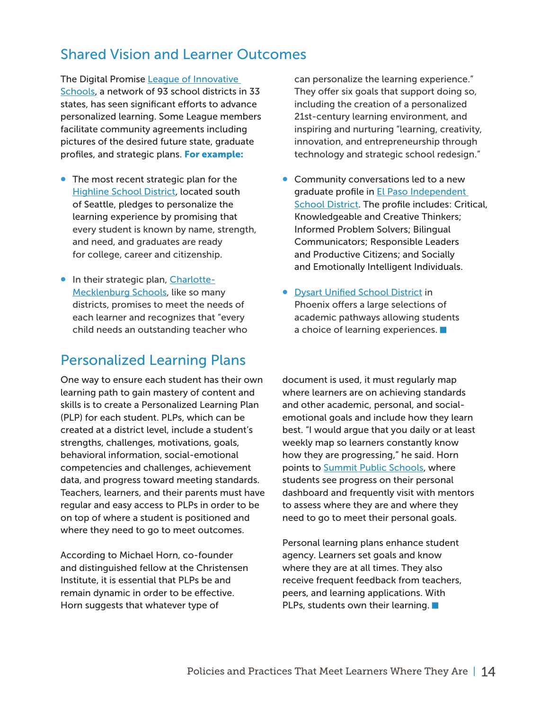#### <span id="page-13-0"></span>Shared Vision and Learner Outcomes

The Digital Promise [League of Innovative](http://digitalpromise.org/initiative/league-of-innovative-schools/)  [Schools,](http://digitalpromise.org/initiative/league-of-innovative-schools/) a network of 93 school districts in 33 states, has seen significant efforts to advance personalized learning. Some League members facilitate community agreements including pictures of the desired future state, graduate profiles, and strategic plans. For example:

- The most recent strategic plan for the [Highline School District,](https://www.highlineschools.org/domain/1145) located south of Seattle, pledges to personalize the learning experience by promising that every student is known by name, strength, and need, and graduates are ready for college, career and citizenship.
- In their strategic plan, [Charlotte-](http://www.cms.k12.nc.us/mediaroom/strategicplan2018/Documents/StrategicPlan2018.pdf)[Mecklenburg Schools,](http://www.cms.k12.nc.us/mediaroom/strategicplan2018/Documents/StrategicPlan2018.pdf) like so many districts, promises to meet the needs of each learner and recognizes that "every child needs an outstanding teacher who

#### Personalized Learning Plans

One way to ensure each student has their own learning path to gain mastery of content and skills is to create a Personalized Learning Plan (PLP) for each student. PLPs, which can be created at a district level, include a student's strengths, challenges, motivations, goals, behavioral information, social-emotional competencies and challenges, achievement data, and progress toward meeting standards. Teachers, learners, and their parents must have regular and easy access to PLPs in order to be on top of where a student is positioned and where they need to go to meet outcomes.

According to Michael Horn, co-founder and distinguished fellow at the Christensen Institute, it is essential that PLPs be and remain dynamic in order to be effective. Horn suggests that whatever type of

can personalize the learning experience." They offer six goals that support doing so, including the creation of a personalized 21st-century learning environment, and inspiring and nurturing "learning, creativity, innovation, and entrepreneurship through technology and strategic school redesign."

- Community conversations led to a new graduate profile in [El Paso Independent](https://www.episd.org/domain/285)  [School District.](https://www.episd.org/domain/285) The profile includes: Critical, Knowledgeable and Creative Thinkers; Informed Problem Solvers; Bilingual Communicators; Responsible Leaders and Productive Citizens; and Socially and Emotionally Intelligent Individuals.
- [Dysart Unified School District](https://www.dysart.org/Sites/default.aspx?pgid=37) in Phoenix offers a large selections of academic pathways allowing students a choice of learning experiences.

document is used, it must regularly map where learners are on achieving standards and other academic, personal, and socialemotional goals and include how they learn best. "I would argue that you daily or at least weekly map so learners constantly know how they are progressing," he said. Horn points to **[Summit Public Schools](http://www.summitps.org/)**, where students see progress on their personal dashboard and frequently visit with mentors to assess where they are and where they need to go to meet their personal goals.

Personal learning plans enhance student agency. Learners set goals and know where they are at all times. They also receive frequent feedback from teachers, peers, and learning applications. With PLPs, students own their learning.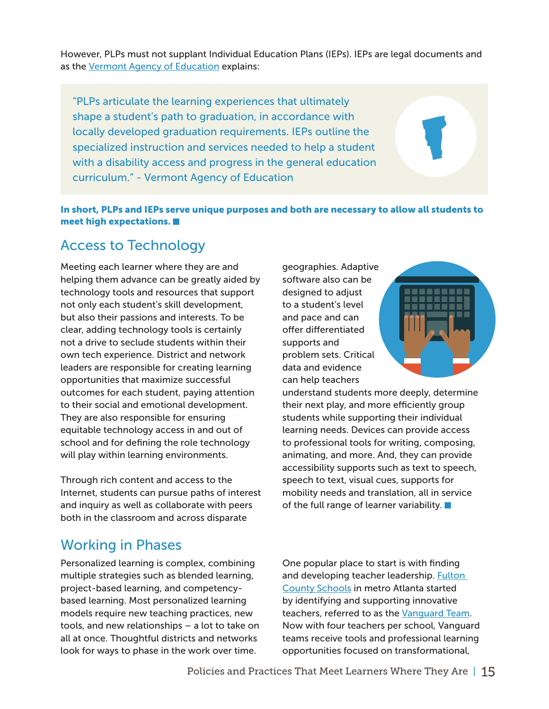<span id="page-14-0"></span>However, PLPs must not supplant Individual Education Plans (IEPs). IEPs are legal documents and as the [Vermont Agency of Education](http://education.vermont.gov/sites/aoe/files/documents/edu-proficiency-based-education-the-relationship-between-IEP-PLP-PBGR.pdf) explains:

"PLPs articulate the learning experiences that ultimately shape a student's path to graduation, in accordance with locally developed graduation requirements. IEPs outline the specialized instruction and services needed to help a student with a disability access and progress in the general education curriculum." - Vermont Agency of Education

#### In short, PLPs and IEPs serve unique purposes and both are necessary to allow all students to meet high expectations.

#### Access to Technology

Meeting each learner where they are and helping them advance can be greatly aided by technology tools and resources that support not only each student's skill development, but also their passions and interests. To be clear, adding technology tools is certainly not a drive to seclude students within their own tech experience. District and network leaders are responsible for creating learning opportunities that maximize successful outcomes for each student, paying attention to their social and emotional development. They are also responsible for ensuring equitable technology access in and out of school and for defining the role technology will play within learning environments.

Through rich content and access to the Internet, students can pursue paths of interest and inquiry as well as collaborate with peers both in the classroom and across disparate

geographies. Adaptive software also can be designed to adjust to a student's level and pace and can offer differentiated supports and problem sets. Critical data and evidence can help teachers



understand students more deeply, determine their next play, and more efficiently group students while supporting their individual learning needs. Devices can provide access to professional tools for writing, composing, animating, and more. And, they can provide accessibility supports such as text to speech, speech to text, visual cues, supports for mobility needs and translation, all in service of the full range of learner variability.

#### Working in Phases

Personalized learning is complex, combining multiple strategies such as blended learning, project-based learning, and competencybased learning. Most personalized learning models require new teaching practices, new tools, and new relationships – a lot to take on all at once. Thoughtful districts and networks look for ways to phase in the work over time.

One popular place to start is with finding and developing teacher leadership. Fulton [County Schools](http://www.fultonschools.org/) in metro Atlanta started by identifying and supporting innovative teachers, referred to as the [Vanguard Team.](http://www.gettingsmart.com/2014/07/building-capacity-using-wait-humans/) Now with four teachers per school, Vanguard teams receive tools and professional learning opportunities focused on transformational,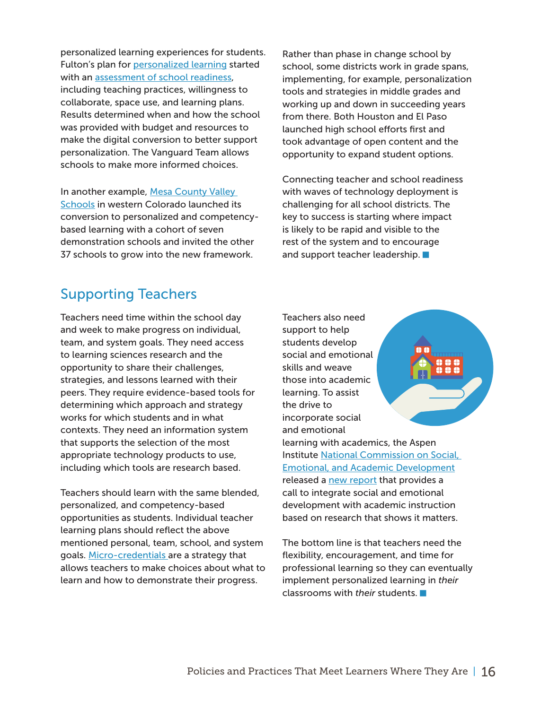<span id="page-15-0"></span>personalized learning experiences for students. Fulton's plan for [personalized learning](http://www.gettingsmart.com/2015/08/fulton-county-schools-customizes-personalized-learning-implementation/) started with an [assessment of school readiness](http://form.jotform.us/form/42801633744150), including teaching practices, willingness to collaborate, space use, and learning plans. Results determined when and how the school was provided with budget and resources to make the digital conversion to better support personalization. The Vanguard Team allows schools to make more informed choices.

In another example, Mesa County Valley [Schools](https://www.d51schools.org/) in western Colorado launched its conversion to personalized and competencybased learning with a cohort of seven demonstration schools and invited the other 37 schools to grow into the new framework.

Rather than phase in change school by school, some districts work in grade spans, implementing, for example, personalization tools and strategies in middle grades and working up and down in succeeding years from there. Both Houston and El Paso launched high school efforts first and took advantage of open content and the opportunity to expand student options.

Connecting teacher and school readiness with waves of technology deployment is challenging for all school districts. The key to success is starting where impact is likely to be rapid and visible to the rest of the system and to encourage and support teacher leadership.  $\blacksquare$ 

#### Supporting Teachers

Teachers need time within the school day and week to make progress on individual, team, and system goals. They need access to learning sciences research and the opportunity to share their challenges, strategies, and lessons learned with their peers. They require evidence-based tools for determining which approach and strategy works for which students and in what contexts. They need an information system that supports the selection of the most appropriate technology products to use, including which tools are research based.

Teachers should learn with the same blended, personalized, and competency-based opportunities as students. Individual teacher learning plans should reflect the above mentioned personal, team, school, and system goals. [Micro-credentials](http://digitalpromise.org/initiative/educator-micro-credentials/) are a strategy that allows teachers to make choices about what to learn and how to demonstrate their progress.

Teachers also need support to help students develop social and emotional skills and weave those into academic learning. To assist the drive to incorporate social and emotional



learning with academics, the Aspen Institute [National Commission on Social,](https://www.aspeninstitute.org/programs/national-commission-on-social-emotional-and-academic-development/)  [Emotional, and Academic Development](https://www.aspeninstitute.org/programs/national-commission-on-social-emotional-and-academic-development/) released a [new report](https://www.aspeninstitute.org/publications/evidence-base-learn/) that provides a call to integrate social and emotional development with academic instruction based on research that shows it matters.

The bottom line is that teachers need the flexibility, encouragement, and time for professional learning so they can eventually implement personalized learning in *their*  classrooms with *their* students.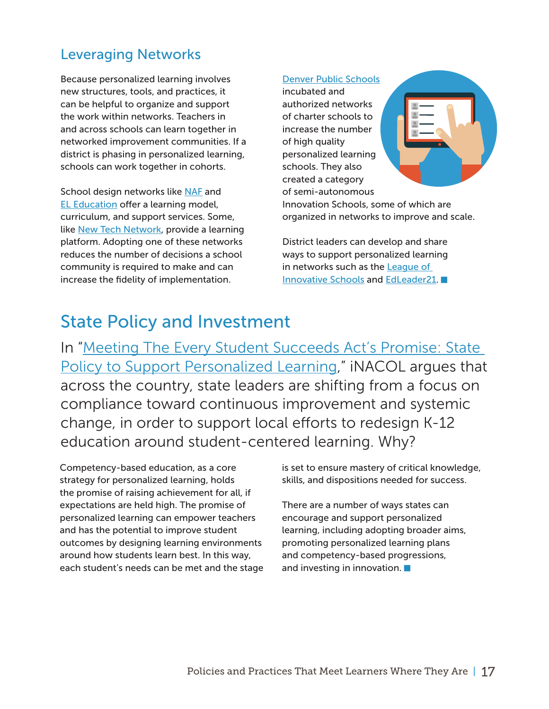#### <span id="page-16-0"></span>Leveraging Networks

Because personalized learning involves new structures, tools, and practices, it can be helpful to organize and support the work within networks. Teachers in and across schools can learn together in networked improvement communities. If a district is phasing in personalized learning, schools can work together in cohorts.

School design networks like [NAF](https://naf.org/) and [EL Education](https://eleducation.org/) offer a learning model, curriculum, and support services. Some, like [New Tech Network,](https://newtechnetwork.org/) provide a learning platform. Adopting one of these networks reduces the number of decisions a school community is required to make and can increase the fidelity of implementation.

#### [Denver Public Schools](https://www.dpsk12.org/)

incubated and authorized networks of charter schools to increase the number of high quality personalized learning schools. They also created a category of semi-autonomous



Innovation Schools, some of which are organized in networks to improve and scale.

District leaders can develop and share ways to support personalized learning in networks such as the [League of](http://digitalpromise.org/initiative/league-of-innovative-schools/)  [Innovative Schools](http://digitalpromise.org/initiative/league-of-innovative-schools/) and [EdLeader21.](http://www.edleader21.com/)

#### State Policy and Investment

In ["Meeting The Every Student Succeeds Act's Promise: State](https://www.inacol.org/wp-content/uploads/2016/10/iNACOL_MeetingESSAsPromise.pdf)  [Policy to Support Personalized Learning](https://www.inacol.org/wp-content/uploads/2016/10/iNACOL_MeetingESSAsPromise.pdf)," iNACOL argues that across the country, state leaders are shifting from a focus on compliance toward continuous improvement and systemic change, in order to support local efforts to redesign K-12 education around student-centered learning. Why?

Competency-based education, as a core strategy for personalized learning, holds the promise of raising achievement for all, if expectations are held high. The promise of personalized learning can empower teachers and has the potential to improve student outcomes by designing learning environments around how students learn best. In this way, each student's needs can be met and the stage is set to ensure mastery of critical knowledge, skills, and dispositions needed for success.

There are a number of ways states can encourage and support personalized learning, including adopting broader aims, promoting personalized learning plans and competency-based progressions, and investing in innovation.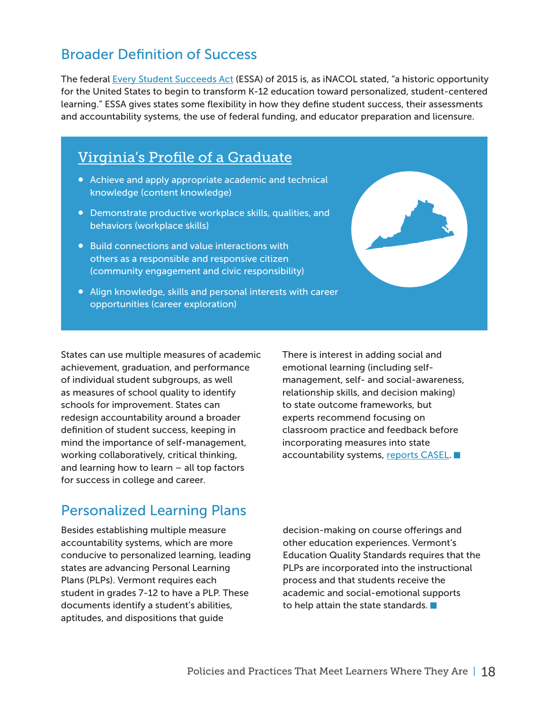#### <span id="page-17-0"></span>Broader Definition of Success

The federal [Every Student Succeeds Act](https://www.ed.gov/esea) (ESSA) of 2015 is, as iNACOL stated, "a historic opportunity for the United States to begin to transform K-12 education toward personalized, student-centered learning." ESSA gives states some flexibility in how they define student success, their assessments and accountability systems, the use of federal funding, and educator preparation and licensure.

#### Virginia's Profile of a Graduate

- Achieve and apply appropriate academic and technical knowledge (content knowledge)
- Demonstrate productive workplace skills, qualities, and behaviors (workplace skills)
- Build connections and value interactions with others as a responsible and responsive citizen (community engagement and civic responsibility)
- Align knowledge, skills and personal interests with career opportunities (career exploration)

States can use multiple measures of academic achievement, graduation, and performance of individual student subgroups, as well as measures of school quality to identify schools for improvement. States can redesign accountability around a broader definition of student success, keeping in mind the importance of self-management, working collaboratively, critical thinking, and learning how to learn – all top factors for success in college and career.

There is interest in adding social and emotional learning (including selfmanagement, self- and social-awareness, relationship skills, and decision making) to state outcome frameworks, but experts recommend focusing on classroom practice and feedback before incorporating measures into state accountability systems, [reports CASEL](http://www.casel.org/wp-content/uploads/2017/08/Meta-analysis-Q-A-8-23-17.pdf).

#### Personalized Learning Plans

Besides establishing multiple measure accountability systems, which are more conducive to personalized learning, leading states are advancing Personal Learning Plans (PLPs). Vermont requires each student in grades 7-12 to have a PLP. These documents identify a student's abilities, aptitudes, and dispositions that guide

decision-making on course offerings and other education experiences. Vermont's Education Quality Standards requires that the PLPs are incorporated into the instructional process and that students receive the academic and social-emotional supports to help attain the state standards.  $\blacksquare$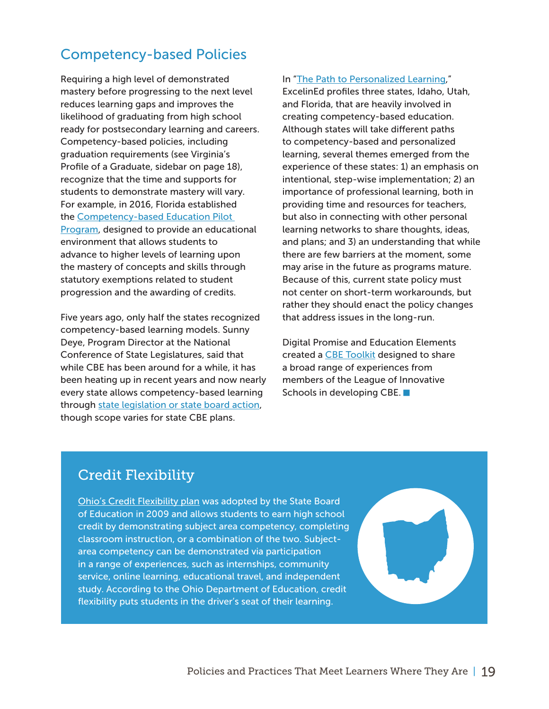#### <span id="page-18-0"></span>Competency-based Policies

Requiring a high level of demonstrated mastery before progressing to the next level reduces learning gaps and improves the likelihood of graduating from high school ready for postsecondary learning and careers. Competency-based policies, including graduation requirements (see Virginia's Profile of a Graduate, sidebar on page 18), recognize that the time and supports for students to demonstrate mastery will vary. For example, in 2016, Florida established th[e](http://www.fldoe.org/core/fileparse.php/7513/urlt/1365-16.pdf) [Competency-based Education Pilot](http://www.fldoe.org/core/fileparse.php/7513/urlt/1365-16.pdf)  [Program,](http://www.fldoe.org/core/fileparse.php/7513/urlt/1365-16.pdf) designed to provide an educational environment that allows students to advance to higher levels of learning upon the mastery of concepts and skills through statutory exemptions related to student progression and the awarding of credits.

Five years ago, only half the states recognized competency-based learning models. Sunny Deye, Program Director at the National Conference of State Legislatures, said that while CBE has been around for a while, it has been heating up in recent years and now nearly every state allows competency-based learning through [state legislation or state board action,](http://www.ncsl.org/research/education/competency.aspx) though scope varies for state CBE plans.

In "[The Path to Personalized Learning](http://www.excelined.org/wp-content/uploads/2017/10/ExcelinEd.ThePathToPersonalizedLearningTheNextChapterintheTaleofThreeStates.Oct2017.pdf?utm_source=ExcelinEd&utm_campaign=ad945c54a4-EMAIL_CAMPAIGN_2017_10_13&utm_medium=email&utm_term=0_0473a80b81-ad945c54a4-115589553)," ExcelinEd profiles three states, Idaho, Utah, and Florida, that are heavily involved in creating competency-based education. Although states will take different paths to competency-based and personalized learning, several themes emerged from the experience of these states: 1) an emphasis on intentional, step-wise implementation; 2) an importance of professional learning, both in providing time and resources for teachers, but also in connecting with other personal learning networks to share thoughts, ideas, and plans; and 3) an understanding that while there are few barriers at the moment, some may arise in the future as programs mature. Because of this, current state policy must not center on short-term workarounds, but rather they should enact the policy changes that address issues in the long-run.

Digital Promise and Education Elements created a [CBE Toolkit](http://digitalpromise.org/cbe_topic/) designed to share a broad range of experiences from members of the League of Innovative Schools in developing CBE.

#### Credit Flexibility

[Ohio's Credit Flexibility plan](http://education.ohio.gov/Topics/Quality-School-Choice/Credit-Flexibility-Plan) was adopted by the State Board of Education in 2009 and allows students to earn high school credit by demonstrating subject area competency, completing classroom instruction, or a combination of the two. Subjectarea competency can be demonstrated via participation in a range of experiences, such as internships, community service, online learning, educational travel, and independent study. According to the Ohio Department of Education, credit flexibility puts students in the driver's seat of their learning.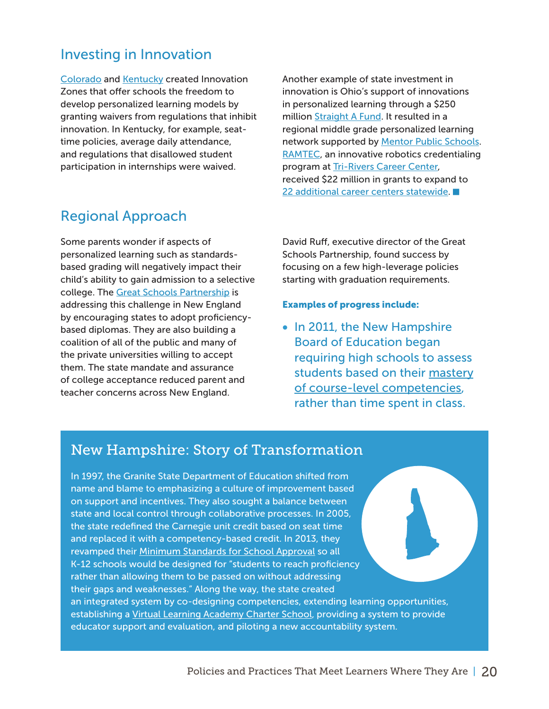#### <span id="page-19-0"></span>Investing in Innovation

[Colorado](https://www.cde.state.co.us/choice/innovationschools) an[d](https://education.ky.gov/school/innov/Pages/Districts-of-Innovation.aspx) [Kentucky](https://education.ky.gov/school/innov/Pages/Districts-of-Innovation.aspx) created Innovation Zones that offer schools the freedom to develop personalized learning models by granting waivers from regulations that inhibit innovation. In Kentucky, for example, seattime policies, average daily attendance, and regulations that disallowed student participation in internships were waived.

#### Regional Approach

Some parents wonder if aspects of personalized learning such as standardsbased grading will negatively impact their child's ability to gain admission to a selective college. The [Great Schools Partnership](http://greatschoolspartnership.org/about/about-gsp/) is addressing this challenge in New England by encouraging states to adopt proficiencybased diplomas. They are also building a coalition of all of the public and many of the private universities willing to accept them. The state mandate and assurance of college acceptance reduced parent and teacher concerns across New England.

Another example of state investment in innovation is Ohio's support of innovations in personalized learning through a \$250 million [Straight A Fund](http://education.ohio.gov/Topics/Straight-A-Fund). It resulted in a regional middle grade personalized learning network supported by [Mentor Public Schools.](http://www.mentorschools.net/) [RAMTEC](http://www.ramtecohio.com/), an innovative robotics credentialing program at [Tri-Rivers Career Center](http://tririvers.com/), received \$22 million in grants to expand to [22 additional career centers statewide.](http://www.gettingsmart.com/2017/04/ramtec-robotics-a-path-to-employment-economic-development/)

David Ruff, executive director of the Great Schools Partnership, found success by focusing on a few high-leverage policies starting with graduation requirements.

#### Examples of progress include:

• In 2011, the New Hampshire Board of Education began requiring high schools to assess students based on their [mastery](https://www.education.nh.gov/innovations/hs_redesign/competencies.htm) [of course-level competencies,](https://www.education.nh.gov/innovations/hs_redesign/competencies.htm) rather than time spent in class.

#### New Hampshire: Story of Transformation

In 1997, the Granite State Department of Education shifted from name and blame to emphasizing a culture of improvement based on support and incentives. They also sought a balance between state and local control through collaborative processes. In 2005, the state redefined the Carnegie unit credit based on seat time and replaced it with a competency-based credit. In 2013, they revamped their [Minimum Standards for School Approval](https://www.education.nh.gov/legislation/standards.htm) so all K-12 schools would be designed for "students to reach proficiency rather than allowing them to be passed on without addressing their gaps and weaknesses." Along the way, the state created an integrated system by co-designing competencies, extending learning opportunities, establishing a [Virtual Learning Academy Charter School,](https://vlacs.org/) providing a system to provide educator support and evaluation, and piloting a new accountability system.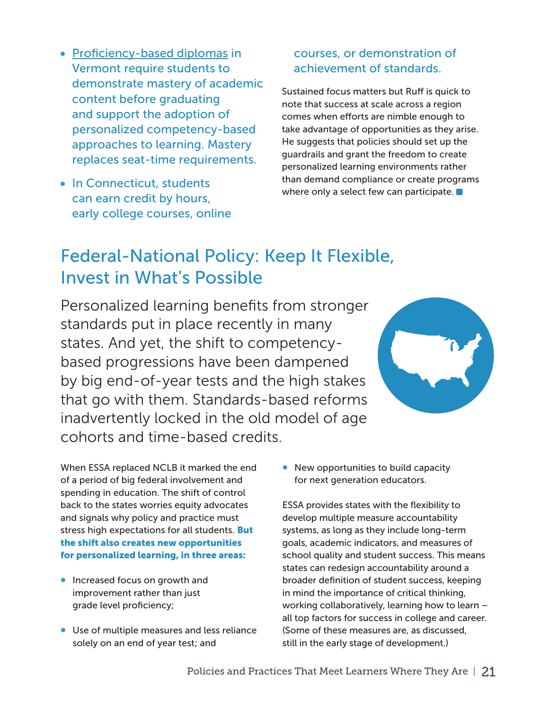- <span id="page-20-0"></span>• [Proficiency-based diplomas](http://education.vermont.gov/student-learning/proficiency-based-learning/proficiency-based-graduation-requirements) in Vermont require students to demonstrate mastery of academic content before graduating and support the adoption of personalized competency-based approaches to learning. Mastery replaces seat-time requirements.
- In Connecticut, students can earn credit by hours, early college courses, online

#### courses, or demonstration of achievement of standards.

Sustained focus matters but Ruff is quick to note that success at scale across a region comes when efforts are nimble enough to take advantage of opportunities as they arise. He suggests that policies should set up the guardrails and grant the freedom to create personalized learning environments rather than demand compliance or create programs where only a select few can participate.

### Federal-National Policy: Keep It Flexible, Invest in What's Possible

Personalized learning benefits from stronger standards put in place recently in many states. And yet, the shift to competencybased progressions have been dampened by big end-of-year tests and the high stakes that go with them. Standards-based reforms inadvertently locked in the old model of age cohorts and time-based credits.



When ESSA replaced NCLB it marked the end of a period of big federal involvement and spending in education. The shift of control back to the states worries equity advocates and signals why policy and practice must stress high expectations for all students. **But** the shift also creates new opportunities for personalized learning, in three areas:

- Increased focus on growth and improvement rather than just grade level proficiency;
- Use of multiple measures and less reliance solely on an end of year test; and

• New opportunities to build capacity for next generation educators.

ESSA provides states with the flexibility to develop multiple measure accountability systems, as long as they include long-term goals, academic indicators, and measures of school quality and student success. This means states can redesign accountability around a broader definition of student success, keeping in mind the importance of critical thinking, working collaboratively, learning how to learn – all top factors for success in college and career. (Some of these measures are, as discussed, still in the early stage of development.)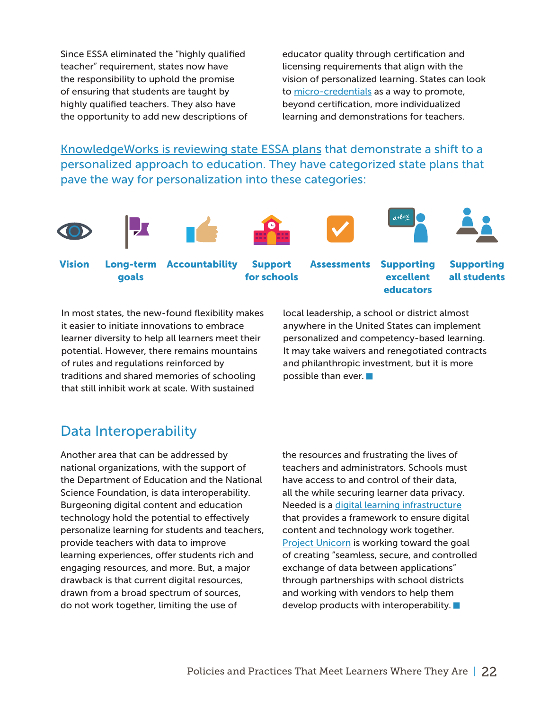<span id="page-21-0"></span>Since ESSA eliminated the "highly qualified teacher" requirement, states now have the responsibility to uphold the promise of ensuring that students are taught by highly qualified teachers. They also have the opportunity to add new descriptions of

educator quality through certification and licensing requirements that align with the vision of personalized learning. States can look to [micro-credentials](https://bloomboard.com/microcredential/provider/ac2f23c8-274d-449d-ac3f-6ad29e399737) as a way to promote, beyond certification, more individualized learning and demonstrations for teachers.

[KnowledgeWorks is reviewing state ESSA plans](http://www.knowledgeworks.org/policy/essa/interactive-map) that demonstrate a shift to a personalized approach to education. They have categorized state plans that pave the way for personalization into these categories:















goals

Support for schools

Vision Long-term Accountability Support Assessments Supporting excellent educators

Supporting all students

In most states, the new-found flexibility makes it easier to initiate innovations to embrace learner diversity to help all learners meet their potential. However, there remains mountains of rules and regulations reinforced by traditions and shared memories of schooling that still inhibit work at scale. With sustained

local leadership, a school or district almost anywhere in the United States can implement personalized and competency-based learning. It may take waivers and renegotiated contracts and philanthropic investment, but it is more possible than ever.

#### Data Interoperability

Another area that can be addressed by national organizations, with the support of the Department of Education and the National Science Foundation, is data interoperability. Burgeoning digital content and education technology hold the potential to effectively personalize learning for students and teachers, provide teachers with data to improve learning experiences, offer students rich and engaging resources, and more. But, a major drawback is that current digital resources, drawn from a broad spectrum of sources, do not work together, limiting the use of

the resources and frustrating the lives of teachers and administrators. Schools must have access to and control of their data, all the while securing learner data privacy. Needed is a [digital learning infrastructure](http://www.imsglobal.org/sites/default/files/i3lc1v4.pdf) that provides a framework to ensure digital content and technology work together. [Project Unicorn](https://www.projunicorn.org/why-data-interoperability) is working toward the goal of creating "seamless, secure, and controlled exchange of data between applications" through partnerships with school districts and working with vendors to help them develop products with interoperability.